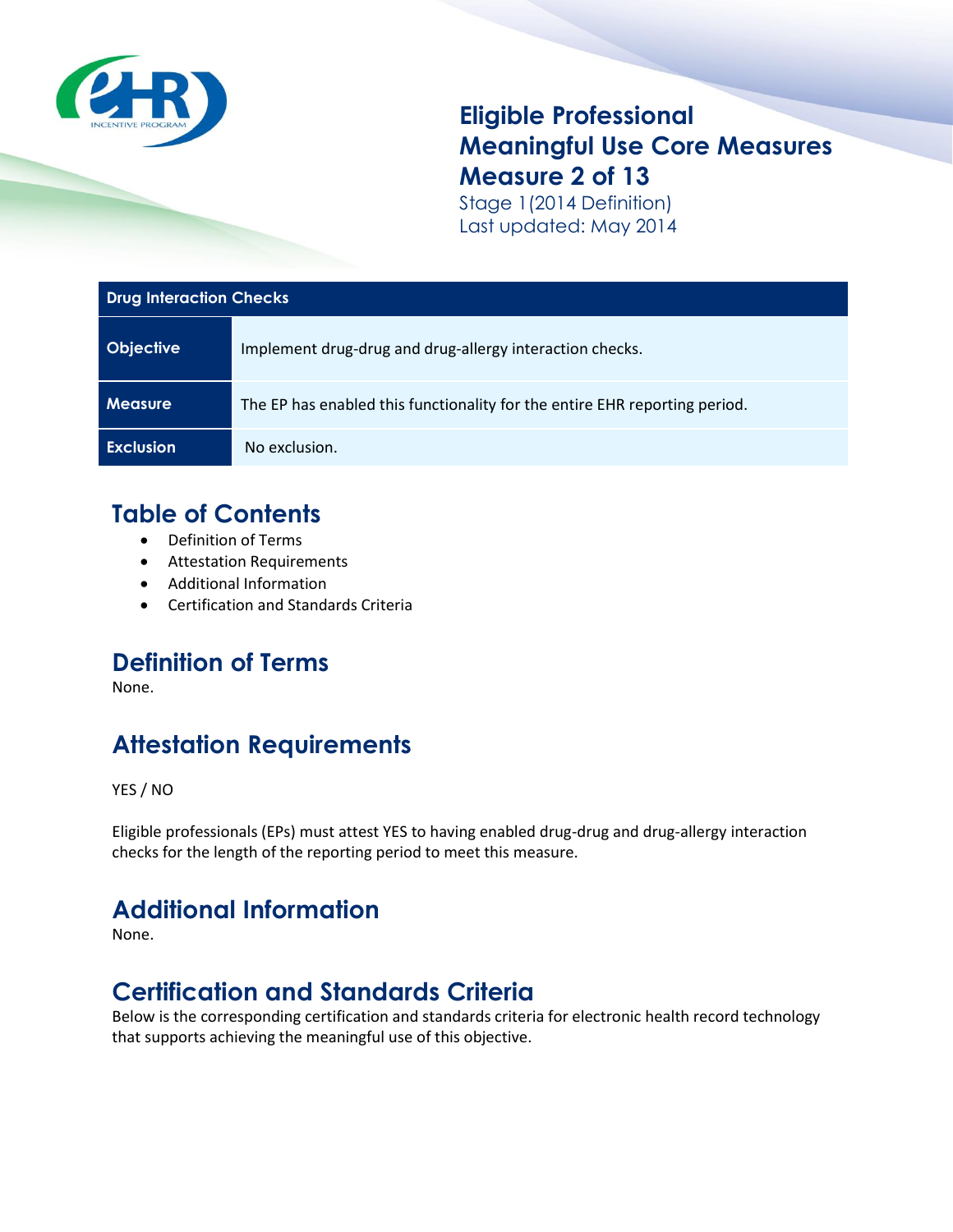

### **Eligible Professional Meaningful Use Core Measures Measure 2 of 13**

Stage 1(2014 Definition) Last updated: May 2014

#### **Drug Interaction Checks**

| <b>Objective</b> | Implement drug-drug and drug-allergy interaction checks.                   |
|------------------|----------------------------------------------------------------------------|
| <b>Measure</b>   | The EP has enabled this functionality for the entire EHR reporting period. |
| <b>Exclusion</b> | No exclusion.                                                              |

#### **Table of Contents**

- Definition of Terms
- Attestation Requirements
- Additional Information
- Certification and Standards Criteria

## **Definition of Terms**

None.

# **Attestation Requirements**

YES / NO

Eligible professionals (EPs) must attest YES to having enabled drug-drug and drug-allergy interaction checks for the length of the reporting period to meet this measure.

## **Additional Information**

None.

### **Certification and Standards Criteria**

Below is the corresponding certification and standards criteria for electronic health record technology that supports achieving the meaningful use of this objective.